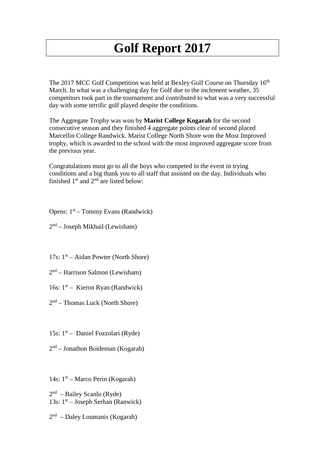## **Golf Report 2017**

The 2017 MCC Golf Competition was held at Bexley Golf Course on Thursday 16<sup>th</sup> March. In what was a challenging day for Golf due to the inclement weather, 35 competitors took part in the tournament and contributed to what was a very successful day with some terrific golf played despite the conditions.

The Aggregate Trophy was won by **Marist College Kogarah** for the second consecutive season and they finished 4 aggregate points clear of second placed Marcellin College Randwick. Marist College North Shore won the Most Improved trophy, which is awarded to the school with the most improved aggregate score from the previous year.

Congratulations must go to all the boys who competed in the event in trying conditions and a big thank you to all staff that assisted on the day. Individuals who finished  $1<sup>st</sup>$  and  $2<sup>nd</sup>$  are listed below:

Opens:  $1<sup>st</sup>$  – Tommy Evans (Randwick)

 $2<sup>nd</sup>$  – Joseph Mikhail (Lewisham)

17s:  $1<sup>st</sup> - Aidan Power (North Shore)$ 

 $2<sup>nd</sup>$  – Harrison Salmon (Lewisham)

16s:  $1<sup>st</sup>$  – Kieron Ryan (Randwick)

 $2<sup>nd</sup>$  – Thomas Luck (North Shore)

15s:  $1<sup>st</sup>$  – Daniel Fozzolari (Ryde)

 $2<sup>nd</sup>$  – Jonathon Boideman (Kogarah)

14s:  $1<sup>st</sup>$  – Marco Perin (Kogarah)

 $2<sup>nd</sup>$  – Bailey Scanlo (Ryde) 13s:  $1<sup>st</sup> - Joseph Serhan (Ranwick)$ 

 $2<sup>nd</sup>$  – Daley Loumanis (Kogarah)